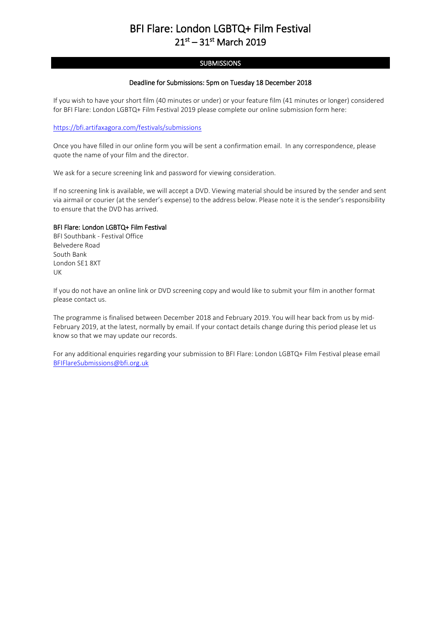## BFI Flare: London LGBTQ+ Film Festival  $21^{st} - 31^{st}$  March 2019

### **SUBMISSIONS**

#### Deadline for Submissions: 5pm on Tuesday 18 December 2018

If you wish to have your short film (40 minutes or under) or your feature film (41 minutes or longer) considered for BFI Flare: London LGBTQ+ Film Festival 2019 please complete our online submission form here:

#### <https://bfi.artifaxagora.com/festivals/submissions>

Once you have filled in our online form you will be sent a confirmation email. In any correspondence, please quote the name of your film and the director.

We ask for a secure screening link and password for viewing consideration.

If no screening link is available, we will accept a DVD. Viewing material should be insured by the sender and sent via airmail or courier (at the sender's expense) to the address below. Please note it is the sender's responsibility to ensure that the DVD has arrived.

#### BFI Flare: London LGBTQ+ Film Festival

BFI Southbank - Festival Office Belvedere Road South Bank London SE1 8XT UK

If you do not have an online link or DVD screening copy and would like to submit your film in another format please contact us.

The programme is finalised between December 2018 and February 2019. You will hear back from us by mid-February 2019, at the latest, normally by email. If your contact details change during this period please let us know so that we may update our records.

For any additional enquiries regarding your submission to BFI Flare: London LGBTQ+ Film Festival please email [BFIFlareSubmissions@bfi.org.uk](mailto:BFIFlareSubmissions@bfi.org.uk)